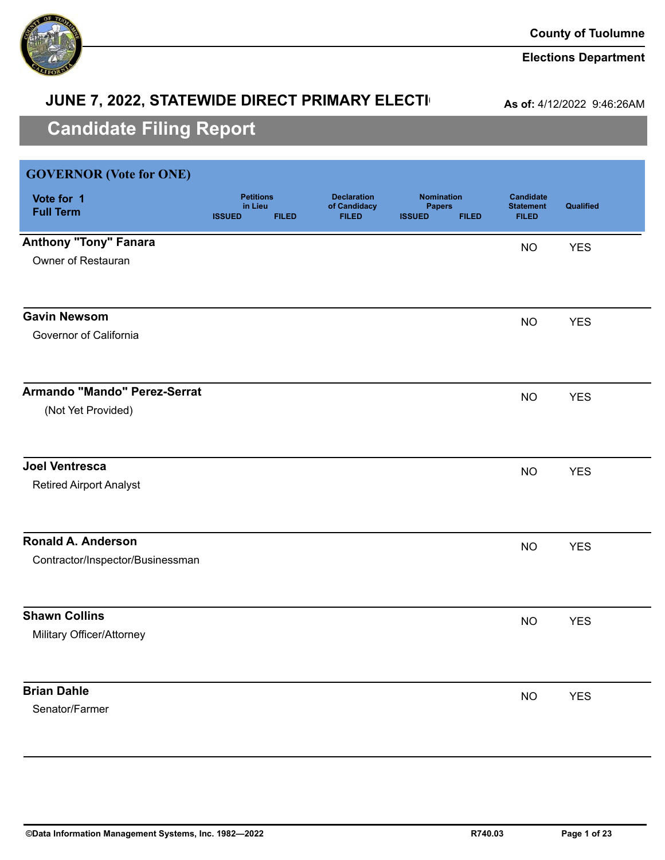

### **Elections Department**

# **JUNE 7, 2022, STATEWIDE DIRECT PRIMARY ELECTI**

**As of:** 4/12/2022 9:46:26AM

| <b>GOVERNOR</b> (Vote for ONE)   |                                              |              |                                                    |                                                     |              |                                                      |            |
|----------------------------------|----------------------------------------------|--------------|----------------------------------------------------|-----------------------------------------------------|--------------|------------------------------------------------------|------------|
| Vote for 1<br><b>Full Term</b>   | <b>Petitions</b><br>in Lieu<br><b>ISSUED</b> | <b>FILED</b> | <b>Declaration</b><br>of Candidacy<br><b>FILED</b> | <b>Nomination</b><br><b>Papers</b><br><b>ISSUED</b> | <b>FILED</b> | <b>Candidate</b><br><b>Statement</b><br><b>FILED</b> | Qualified  |
| <b>Anthony "Tony" Fanara</b>     |                                              |              |                                                    |                                                     |              | <b>NO</b>                                            | <b>YES</b> |
| Owner of Restauran               |                                              |              |                                                    |                                                     |              |                                                      |            |
| <b>Gavin Newsom</b>              |                                              |              |                                                    |                                                     |              | <b>NO</b>                                            | <b>YES</b> |
| Governor of California           |                                              |              |                                                    |                                                     |              |                                                      |            |
| Armando "Mando" Perez-Serrat     |                                              |              |                                                    |                                                     |              | <b>NO</b>                                            | <b>YES</b> |
| (Not Yet Provided)               |                                              |              |                                                    |                                                     |              |                                                      |            |
| <b>Joel Ventresca</b>            |                                              |              |                                                    |                                                     |              | <b>NO</b>                                            | <b>YES</b> |
| <b>Retired Airport Analyst</b>   |                                              |              |                                                    |                                                     |              |                                                      |            |
| <b>Ronald A. Anderson</b>        |                                              |              |                                                    |                                                     |              | <b>NO</b>                                            | <b>YES</b> |
| Contractor/Inspector/Businessman |                                              |              |                                                    |                                                     |              |                                                      |            |
| <b>Shawn Collins</b>             |                                              |              |                                                    |                                                     |              | <b>NO</b>                                            | <b>YES</b> |
| Military Officer/Attorney        |                                              |              |                                                    |                                                     |              |                                                      |            |
| <b>Brian Dahle</b>               |                                              |              |                                                    |                                                     |              | <b>NO</b>                                            | <b>YES</b> |
| Senator/Farmer                   |                                              |              |                                                    |                                                     |              |                                                      |            |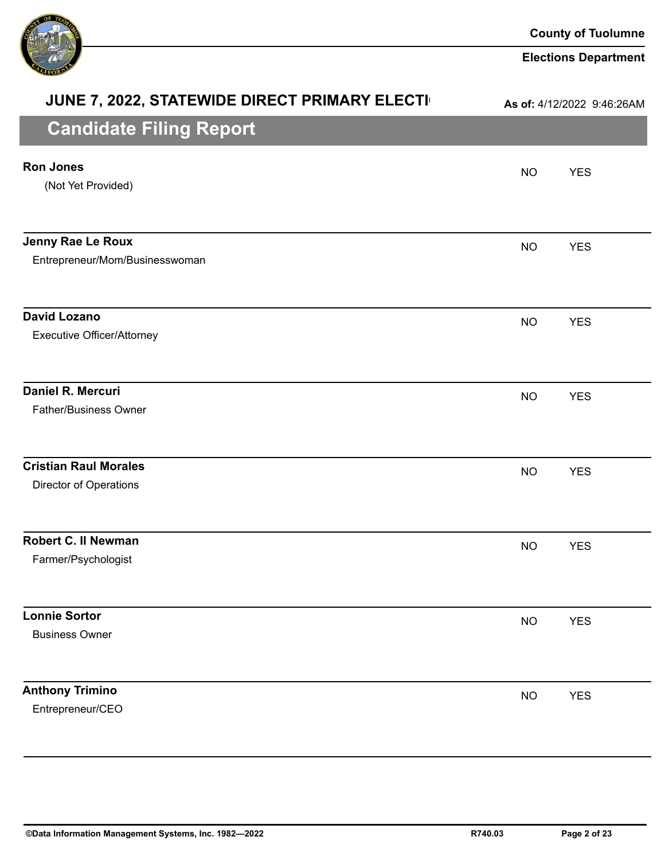

| JUNE 7, 2022, STATEWIDE DIRECT PRIMARY ELECTI                 |           | As of: 4/12/2022 9:46:26AM |
|---------------------------------------------------------------|-----------|----------------------------|
| <b>Candidate Filing Report</b>                                |           |                            |
| <b>Ron Jones</b><br>(Not Yet Provided)                        | <b>NO</b> | <b>YES</b>                 |
| Jenny Rae Le Roux<br>Entrepreneur/Mom/Businesswoman           | <b>NO</b> | <b>YES</b>                 |
| <b>David Lozano</b><br><b>Executive Officer/Attorney</b>      | <b>NO</b> | <b>YES</b>                 |
| <b>Daniel R. Mercuri</b><br><b>Father/Business Owner</b>      | <b>NO</b> | <b>YES</b>                 |
| <b>Cristian Raul Morales</b><br><b>Director of Operations</b> | <b>NO</b> | <b>YES</b>                 |
| <b>Robert C. II Newman</b><br>Farmer/Psychologist             | <b>NO</b> | <b>YES</b>                 |
| <b>Lonnie Sortor</b><br><b>Business Owner</b>                 | <b>NO</b> | <b>YES</b>                 |
| <b>Anthony Trimino</b><br>Entrepreneur/CEO                    | <b>NO</b> | <b>YES</b>                 |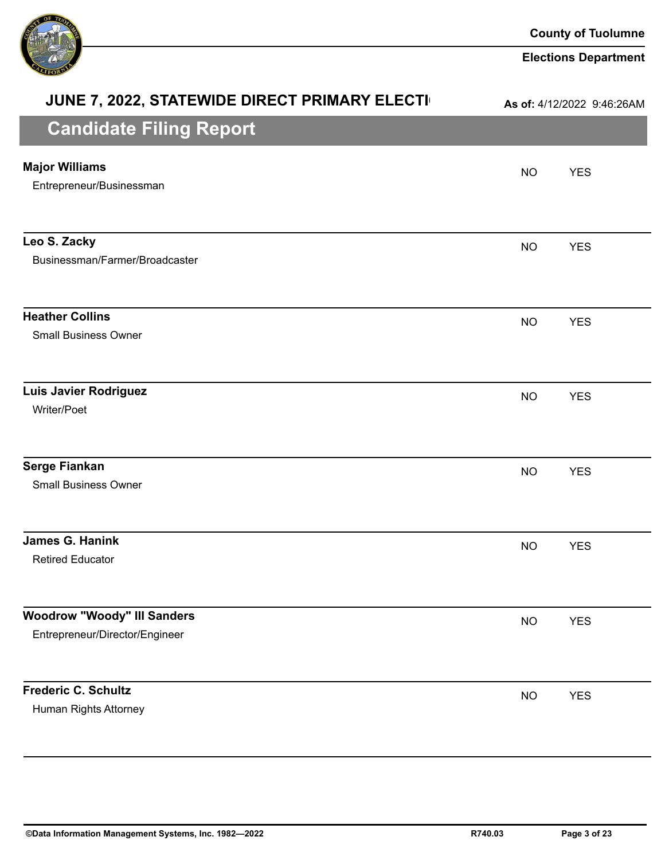

| JUNE 7, 2022, STATEWIDE DIRECT PRIMARY ELECTI                        |           | As of: 4/12/2022 9:46:26AM |
|----------------------------------------------------------------------|-----------|----------------------------|
| <b>Candidate Filing Report</b>                                       |           |                            |
| <b>Major Williams</b><br>Entrepreneur/Businessman                    | <b>NO</b> | <b>YES</b>                 |
| Leo S. Zacky<br>Businessman/Farmer/Broadcaster                       | <b>NO</b> | <b>YES</b>                 |
| <b>Heather Collins</b><br><b>Small Business Owner</b>                | <b>NO</b> | <b>YES</b>                 |
| <b>Luis Javier Rodriguez</b><br>Writer/Poet                          | <b>NO</b> | <b>YES</b>                 |
| <b>Serge Fiankan</b><br><b>Small Business Owner</b>                  | <b>NO</b> | <b>YES</b>                 |
| <b>James G. Hanink</b><br><b>Retired Educator</b>                    | <b>NO</b> | <b>YES</b>                 |
| <b>Woodrow "Woody" III Sanders</b><br>Entrepreneur/Director/Engineer | <b>NO</b> | <b>YES</b>                 |
| <b>Frederic C. Schultz</b><br>Human Rights Attorney                  | <b>NO</b> | <b>YES</b>                 |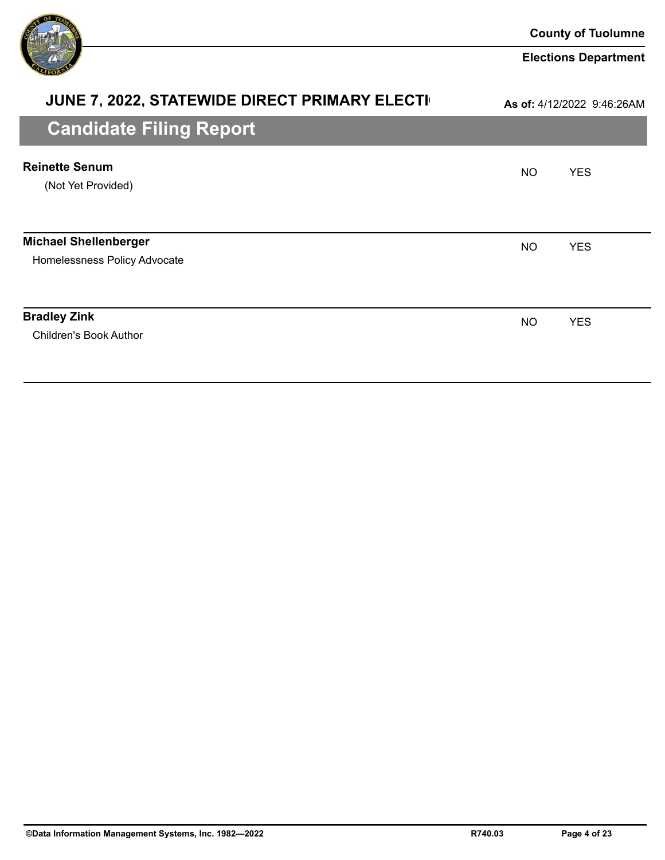

| <b>JUNE 7, 2022, STATEWIDE DIRECT PRIMARY ELECTI</b>         |           | As of: 4/12/2022 9:46:26AM |
|--------------------------------------------------------------|-----------|----------------------------|
| <b>Candidate Filing Report</b>                               |           |                            |
| <b>Reinette Senum</b><br>(Not Yet Provided)                  | NO.       | <b>YES</b>                 |
| <b>Michael Shellenberger</b><br>Homelessness Policy Advocate | <b>NO</b> | <b>YES</b>                 |
| <b>Bradley Zink</b><br><b>Children's Book Author</b>         | <b>NO</b> | <b>YES</b>                 |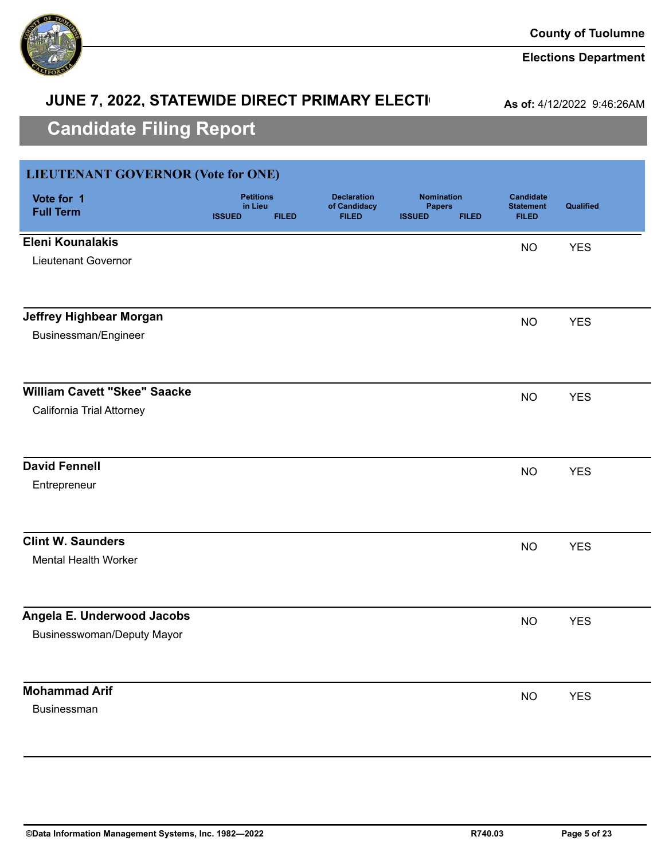

# **JUNE 7, 2022, STATEWIDE DIRECT PRIMARY ELECTI**

**As of:** 4/12/2022 9:46:26AM

| <b>LIEUTENANT GOVERNOR (Vote for ONE)</b> |                                                              |                                                    |                                                                     |                                                      |            |
|-------------------------------------------|--------------------------------------------------------------|----------------------------------------------------|---------------------------------------------------------------------|------------------------------------------------------|------------|
| Vote for 1<br><b>Full Term</b>            | <b>Petitions</b><br>in Lieu<br><b>ISSUED</b><br><b>FILED</b> | <b>Declaration</b><br>of Candidacy<br><b>FILED</b> | <b>Nomination</b><br><b>Papers</b><br><b>ISSUED</b><br><b>FILED</b> | <b>Candidate</b><br><b>Statement</b><br><b>FILED</b> | Qualified  |
| <b>Eleni Kounalakis</b>                   |                                                              |                                                    |                                                                     | <b>NO</b>                                            | <b>YES</b> |
| <b>Lieutenant Governor</b>                |                                                              |                                                    |                                                                     |                                                      |            |
| <b>Jeffrey Highbear Morgan</b>            |                                                              |                                                    |                                                                     | <b>NO</b>                                            | <b>YES</b> |
| Businessman/Engineer                      |                                                              |                                                    |                                                                     |                                                      |            |
| <b>William Cavett "Skee" Saacke</b>       |                                                              |                                                    |                                                                     | <b>NO</b>                                            | <b>YES</b> |
| California Trial Attorney                 |                                                              |                                                    |                                                                     |                                                      |            |
| <b>David Fennell</b>                      |                                                              |                                                    |                                                                     | <b>NO</b>                                            | <b>YES</b> |
| Entrepreneur                              |                                                              |                                                    |                                                                     |                                                      |            |
| <b>Clint W. Saunders</b>                  |                                                              |                                                    |                                                                     | <b>NO</b>                                            | <b>YES</b> |
| <b>Mental Health Worker</b>               |                                                              |                                                    |                                                                     |                                                      |            |
| Angela E. Underwood Jacobs                |                                                              |                                                    |                                                                     | <b>NO</b>                                            | <b>YES</b> |
| <b>Businesswoman/Deputy Mayor</b>         |                                                              |                                                    |                                                                     |                                                      |            |
| <b>Mohammad Arif</b>                      |                                                              |                                                    |                                                                     | <b>NO</b>                                            | <b>YES</b> |
| <b>Businessman</b>                        |                                                              |                                                    |                                                                     |                                                      |            |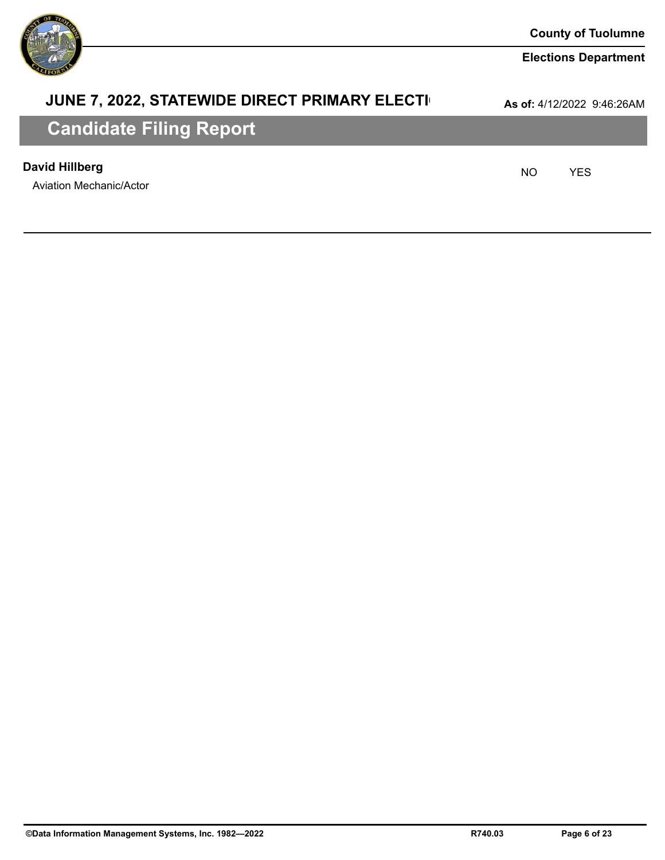

### **JUNE 7, 2022, STATEWIDE DIRECT PRIMARY ELECTI**

**As of:** 4/12/2022 9:46:26AM

# **Candidate Filing Report**

### **David Hillberg** NO YES

Aviation Mechanic/Actor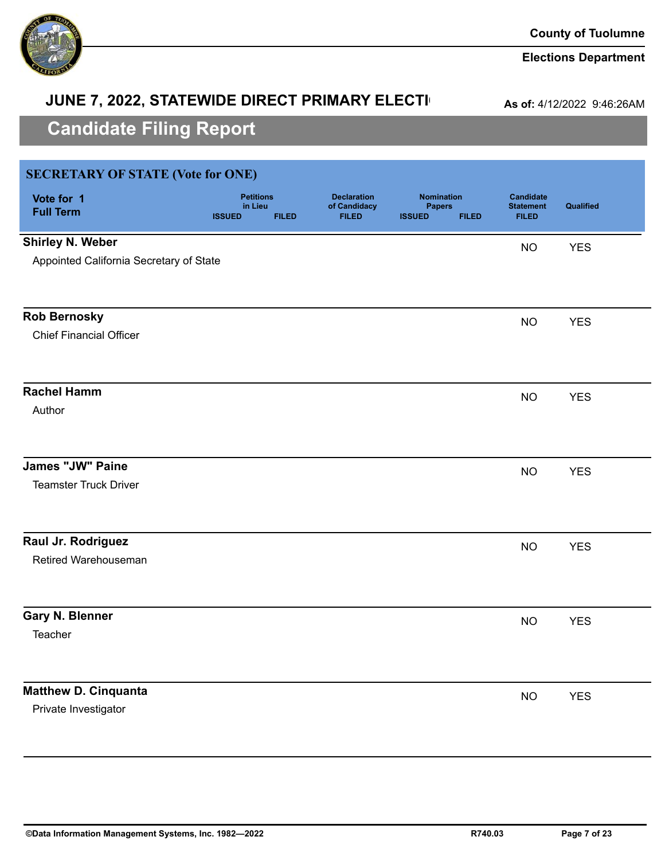

# **JUNE 7, 2022, STATEWIDE DIRECT PRIMARY ELECTI**

**As of:** 4/12/2022 9:46:26AM

| <b>SECRETARY OF STATE (Vote for ONE)</b> |                                                              |                                                    |                                                                     |                                                      |            |
|------------------------------------------|--------------------------------------------------------------|----------------------------------------------------|---------------------------------------------------------------------|------------------------------------------------------|------------|
| Vote for 1<br><b>Full Term</b>           | <b>Petitions</b><br>in Lieu<br><b>ISSUED</b><br><b>FILED</b> | <b>Declaration</b><br>of Candidacy<br><b>FILED</b> | <b>Nomination</b><br><b>Papers</b><br><b>ISSUED</b><br><b>FILED</b> | <b>Candidate</b><br><b>Statement</b><br><b>FILED</b> | Qualified  |
| <b>Shirley N. Weber</b>                  |                                                              |                                                    |                                                                     | <b>NO</b>                                            | <b>YES</b> |
| Appointed California Secretary of State  |                                                              |                                                    |                                                                     |                                                      |            |
| <b>Rob Bernosky</b>                      |                                                              |                                                    |                                                                     | <b>NO</b>                                            | <b>YES</b> |
| <b>Chief Financial Officer</b>           |                                                              |                                                    |                                                                     |                                                      |            |
| <b>Rachel Hamm</b>                       |                                                              |                                                    |                                                                     | <b>NO</b>                                            | <b>YES</b> |
| Author                                   |                                                              |                                                    |                                                                     |                                                      |            |
| <b>James "JW" Paine</b>                  |                                                              |                                                    |                                                                     | <b>NO</b>                                            | <b>YES</b> |
| <b>Teamster Truck Driver</b>             |                                                              |                                                    |                                                                     |                                                      |            |
| Raul Jr. Rodriguez                       |                                                              |                                                    |                                                                     | <b>NO</b>                                            | <b>YES</b> |
| Retired Warehouseman                     |                                                              |                                                    |                                                                     |                                                      |            |
| <b>Gary N. Blenner</b>                   |                                                              |                                                    |                                                                     | <b>NO</b>                                            | <b>YES</b> |
| Teacher                                  |                                                              |                                                    |                                                                     |                                                      |            |
| <b>Matthew D. Cinquanta</b>              |                                                              |                                                    |                                                                     | <b>NO</b>                                            | <b>YES</b> |
| Private Investigator                     |                                                              |                                                    |                                                                     |                                                      |            |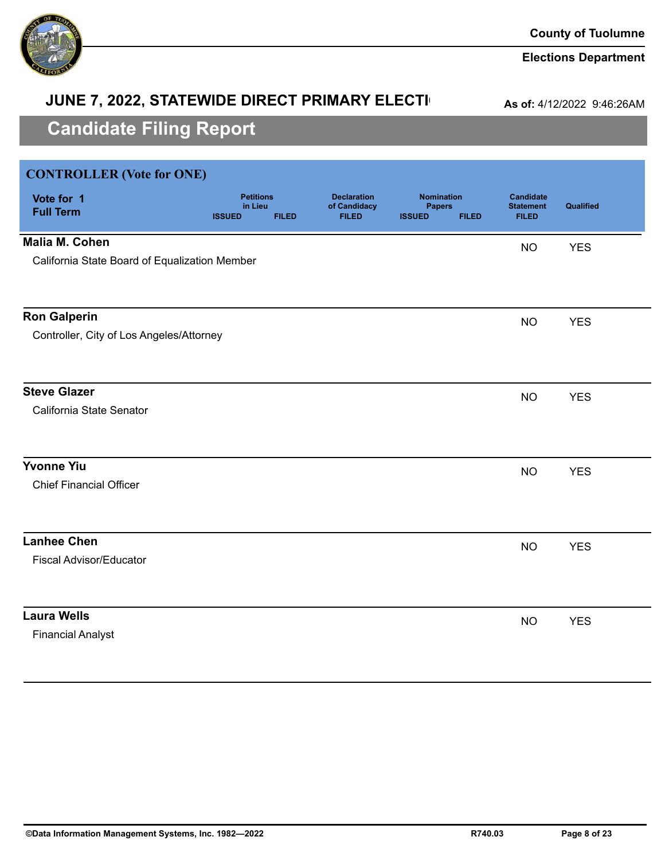

# **JUNE 7, 2022, STATEWIDE DIRECT PRIMARY ELECTI**

**As of:** 4/12/2022 9:46:26AM

| <b>CONTROLLER</b> (Vote for ONE)              |                                                              |                                                    |                                                                     |                                                      |            |
|-----------------------------------------------|--------------------------------------------------------------|----------------------------------------------------|---------------------------------------------------------------------|------------------------------------------------------|------------|
| Vote for 1<br><b>Full Term</b>                | <b>Petitions</b><br>in Lieu<br><b>ISSUED</b><br><b>FILED</b> | <b>Declaration</b><br>of Candidacy<br><b>FILED</b> | <b>Nomination</b><br><b>Papers</b><br><b>ISSUED</b><br><b>FILED</b> | <b>Candidate</b><br><b>Statement</b><br><b>FILED</b> | Qualified  |
| <b>Malia M. Cohen</b>                         |                                                              |                                                    |                                                                     | <b>NO</b>                                            | <b>YES</b> |
| California State Board of Equalization Member |                                                              |                                                    |                                                                     |                                                      |            |
|                                               |                                                              |                                                    |                                                                     |                                                      |            |
| <b>Ron Galperin</b>                           |                                                              |                                                    |                                                                     | <b>NO</b>                                            | <b>YES</b> |
| Controller, City of Los Angeles/Attorney      |                                                              |                                                    |                                                                     |                                                      |            |
|                                               |                                                              |                                                    |                                                                     |                                                      |            |
| <b>Steve Glazer</b>                           |                                                              |                                                    |                                                                     | <b>NO</b>                                            | <b>YES</b> |
| California State Senator                      |                                                              |                                                    |                                                                     |                                                      |            |
|                                               |                                                              |                                                    |                                                                     |                                                      |            |
| <b>Yvonne Yiu</b>                             |                                                              |                                                    |                                                                     | <b>NO</b>                                            | <b>YES</b> |
| <b>Chief Financial Officer</b>                |                                                              |                                                    |                                                                     |                                                      |            |
|                                               |                                                              |                                                    |                                                                     |                                                      |            |
| <b>Lanhee Chen</b>                            |                                                              |                                                    |                                                                     | <b>NO</b>                                            | <b>YES</b> |
| <b>Fiscal Advisor/Educator</b>                |                                                              |                                                    |                                                                     |                                                      |            |
|                                               |                                                              |                                                    |                                                                     |                                                      |            |
| <b>Laura Wells</b>                            |                                                              |                                                    |                                                                     | <b>NO</b>                                            | <b>YES</b> |
| <b>Financial Analyst</b>                      |                                                              |                                                    |                                                                     |                                                      |            |
|                                               |                                                              |                                                    |                                                                     |                                                      |            |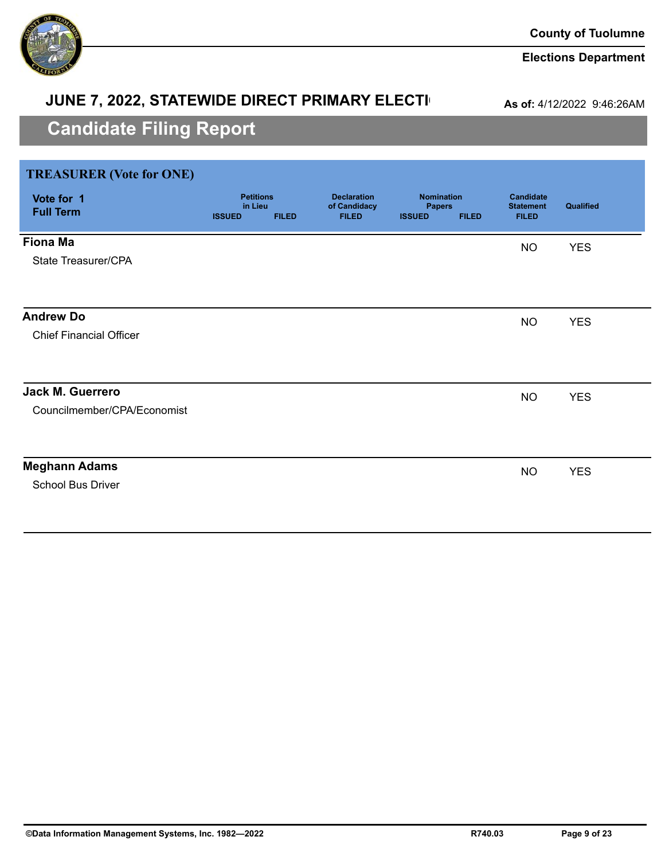

### **Elections Department**

# **JUNE 7, 2022, STATEWIDE DIRECT PRIMARY ELECTI**

**As of:** 4/12/2022 9:46:26AM

| <b>TREASURER (Vote for ONE)</b> |                             |              |                                    |                                    |              |                                      |            |
|---------------------------------|-----------------------------|--------------|------------------------------------|------------------------------------|--------------|--------------------------------------|------------|
| Vote for 1<br><b>Full Term</b>  | <b>Petitions</b><br>in Lieu |              | <b>Declaration</b><br>of Candidacy | <b>Nomination</b><br><b>Papers</b> |              | <b>Candidate</b><br><b>Statement</b> | Qualified  |
|                                 | <b>ISSUED</b>               | <b>FILED</b> | <b>FILED</b>                       | <b>ISSUED</b>                      | <b>FILED</b> | <b>FILED</b>                         |            |
| <b>Fiona Ma</b>                 |                             |              |                                    |                                    |              | <b>NO</b>                            | <b>YES</b> |
| State Treasurer/CPA             |                             |              |                                    |                                    |              |                                      |            |
|                                 |                             |              |                                    |                                    |              |                                      |            |
| <b>Andrew Do</b>                |                             |              |                                    |                                    |              | <b>NO</b>                            | <b>YES</b> |
| <b>Chief Financial Officer</b>  |                             |              |                                    |                                    |              |                                      |            |
|                                 |                             |              |                                    |                                    |              |                                      |            |
| Jack M. Guerrero                |                             |              |                                    |                                    |              | <b>NO</b>                            | <b>YES</b> |
| Councilmember/CPA/Economist     |                             |              |                                    |                                    |              |                                      |            |
|                                 |                             |              |                                    |                                    |              |                                      |            |
| <b>Meghann Adams</b>            |                             |              |                                    |                                    |              | <b>NO</b>                            | <b>YES</b> |
| School Bus Driver               |                             |              |                                    |                                    |              |                                      |            |
|                                 |                             |              |                                    |                                    |              |                                      |            |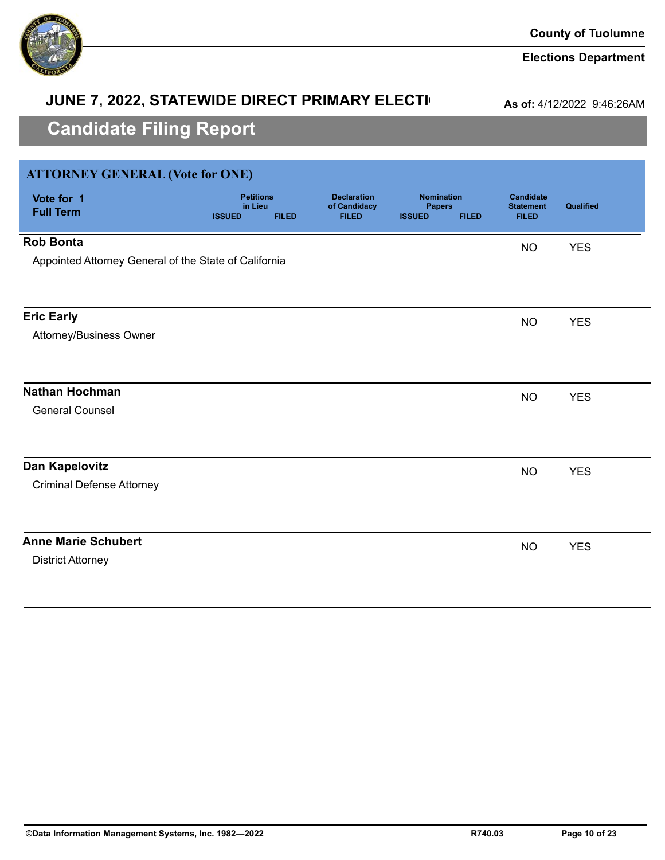

### **JUNE 7, 2022, STATEWIDE DIRECT PRIMARY ELECTI**

**As of:** 4/12/2022 9:46:26AM

| <b>ATTORNEY GENERAL (Vote for ONE)</b>                |                                              |              |                                                    |                                                     |              |                                                      |            |
|-------------------------------------------------------|----------------------------------------------|--------------|----------------------------------------------------|-----------------------------------------------------|--------------|------------------------------------------------------|------------|
| Vote for 1<br><b>Full Term</b>                        | <b>Petitions</b><br>in Lieu<br><b>ISSUED</b> | <b>FILED</b> | <b>Declaration</b><br>of Candidacy<br><b>FILED</b> | <b>Nomination</b><br><b>Papers</b><br><b>ISSUED</b> | <b>FILED</b> | <b>Candidate</b><br><b>Statement</b><br><b>FILED</b> | Qualified  |
| <b>Rob Bonta</b>                                      |                                              |              |                                                    |                                                     |              | <b>NO</b>                                            | <b>YES</b> |
| Appointed Attorney General of the State of California |                                              |              |                                                    |                                                     |              |                                                      |            |
|                                                       |                                              |              |                                                    |                                                     |              |                                                      |            |
| <b>Eric Early</b>                                     |                                              |              |                                                    |                                                     |              | <b>NO</b>                                            | <b>YES</b> |
| Attorney/Business Owner                               |                                              |              |                                                    |                                                     |              |                                                      |            |
|                                                       |                                              |              |                                                    |                                                     |              |                                                      |            |
| <b>Nathan Hochman</b>                                 |                                              |              |                                                    |                                                     |              | <b>NO</b>                                            | <b>YES</b> |
| <b>General Counsel</b>                                |                                              |              |                                                    |                                                     |              |                                                      |            |
|                                                       |                                              |              |                                                    |                                                     |              |                                                      |            |
| Dan Kapelovitz                                        |                                              |              |                                                    |                                                     |              | <b>NO</b>                                            | <b>YES</b> |
| <b>Criminal Defense Attorney</b>                      |                                              |              |                                                    |                                                     |              |                                                      |            |
|                                                       |                                              |              |                                                    |                                                     |              |                                                      |            |
| <b>Anne Marie Schubert</b>                            |                                              |              |                                                    |                                                     |              | <b>NO</b>                                            | <b>YES</b> |
| <b>District Attorney</b>                              |                                              |              |                                                    |                                                     |              |                                                      |            |
|                                                       |                                              |              |                                                    |                                                     |              |                                                      |            |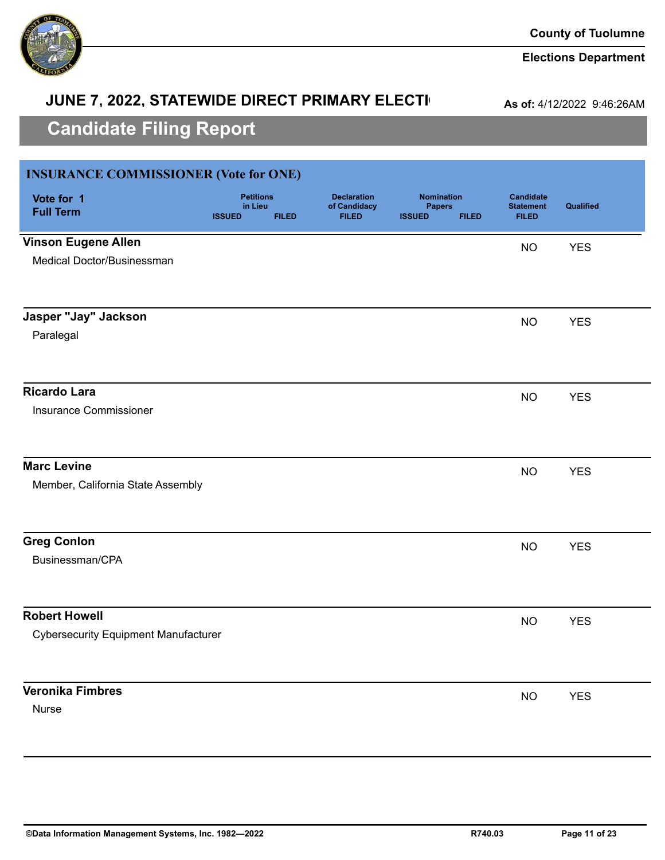

# **JUNE 7, 2022, STATEWIDE DIRECT PRIMARY ELECTI**

**As of:** 4/12/2022 9:46:26AM

| <b>INSURANCE COMMISSIONER (Vote for ONE)</b> |                                                              |                                                    |                                                                     |                                                      |            |
|----------------------------------------------|--------------------------------------------------------------|----------------------------------------------------|---------------------------------------------------------------------|------------------------------------------------------|------------|
| Vote for 1<br><b>Full Term</b>               | <b>Petitions</b><br>in Lieu<br><b>ISSUED</b><br><b>FILED</b> | <b>Declaration</b><br>of Candidacy<br><b>FILED</b> | <b>Nomination</b><br><b>Papers</b><br><b>ISSUED</b><br><b>FILED</b> | <b>Candidate</b><br><b>Statement</b><br><b>FILED</b> | Qualified  |
| <b>Vinson Eugene Allen</b>                   |                                                              |                                                    |                                                                     | <b>NO</b>                                            | <b>YES</b> |
| Medical Doctor/Businessman                   |                                                              |                                                    |                                                                     |                                                      |            |
|                                              |                                                              |                                                    |                                                                     |                                                      |            |
| Jasper "Jay" Jackson                         |                                                              |                                                    |                                                                     | <b>NO</b>                                            | <b>YES</b> |
| Paralegal                                    |                                                              |                                                    |                                                                     |                                                      |            |
| <b>Ricardo Lara</b>                          |                                                              |                                                    |                                                                     | <b>NO</b>                                            | <b>YES</b> |
| <b>Insurance Commissioner</b>                |                                                              |                                                    |                                                                     |                                                      |            |
| <b>Marc Levine</b>                           |                                                              |                                                    |                                                                     | <b>NO</b>                                            | <b>YES</b> |
| Member, California State Assembly            |                                                              |                                                    |                                                                     |                                                      |            |
| <b>Greg Conlon</b>                           |                                                              |                                                    |                                                                     | <b>NO</b>                                            | <b>YES</b> |
| Businessman/CPA                              |                                                              |                                                    |                                                                     |                                                      |            |
| <b>Robert Howell</b>                         |                                                              |                                                    |                                                                     | <b>NO</b>                                            | <b>YES</b> |
| <b>Cybersecurity Equipment Manufacturer</b>  |                                                              |                                                    |                                                                     |                                                      |            |
| <b>Veronika Fimbres</b>                      |                                                              |                                                    |                                                                     |                                                      |            |
| Nurse                                        |                                                              |                                                    |                                                                     | <b>NO</b>                                            | <b>YES</b> |
|                                              |                                                              |                                                    |                                                                     |                                                      |            |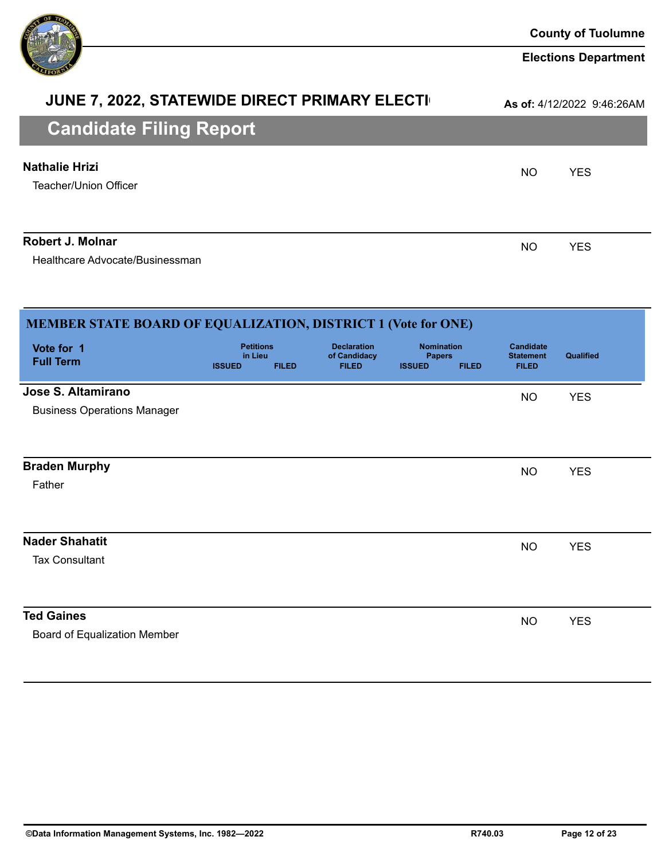

#### **Elections Department**

# **JUNE 7, 2022, STATEWIDE DIRECT PRIMARY ELECTI**

**As of:** 4/12/2022 9:46:26AM

| <b>PRINTANALA I THIS INPOINT</b>               |           |            |
|------------------------------------------------|-----------|------------|
| <b>Nathalie Hrizi</b><br>Teacher/Union Officer | <b>NO</b> | <b>YES</b> |
| <b>Robert J. Molnar</b>                        | <b>NO</b> | <b>YES</b> |

Healthcare Advocate/Businessman

| MEMBER STATE BOARD OF EQUALIZATION, DISTRICT 1 (Vote for ONE) |                                              |              |                                                    |                                                     |              |                                                      |                  |  |
|---------------------------------------------------------------|----------------------------------------------|--------------|----------------------------------------------------|-----------------------------------------------------|--------------|------------------------------------------------------|------------------|--|
| Vote for 1<br><b>Full Term</b>                                | <b>Petitions</b><br>in Lieu<br><b>ISSUED</b> | <b>FILED</b> | <b>Declaration</b><br>of Candidacy<br><b>FILED</b> | <b>Nomination</b><br><b>Papers</b><br><b>ISSUED</b> | <b>FILED</b> | <b>Candidate</b><br><b>Statement</b><br><b>FILED</b> | <b>Qualified</b> |  |
| Jose S. Altamirano<br><b>Business Operations Manager</b>      |                                              |              |                                                    |                                                     |              | <b>NO</b>                                            | <b>YES</b>       |  |
| <b>Braden Murphy</b><br>Father                                |                                              |              |                                                    |                                                     |              | <b>NO</b>                                            | <b>YES</b>       |  |
| <b>Nader Shahatit</b><br><b>Tax Consultant</b>                |                                              |              |                                                    |                                                     |              | <b>NO</b>                                            | <b>YES</b>       |  |
| <b>Ted Gaines</b><br>Board of Equalization Member             |                                              |              |                                                    |                                                     |              | <b>NO</b>                                            | <b>YES</b>       |  |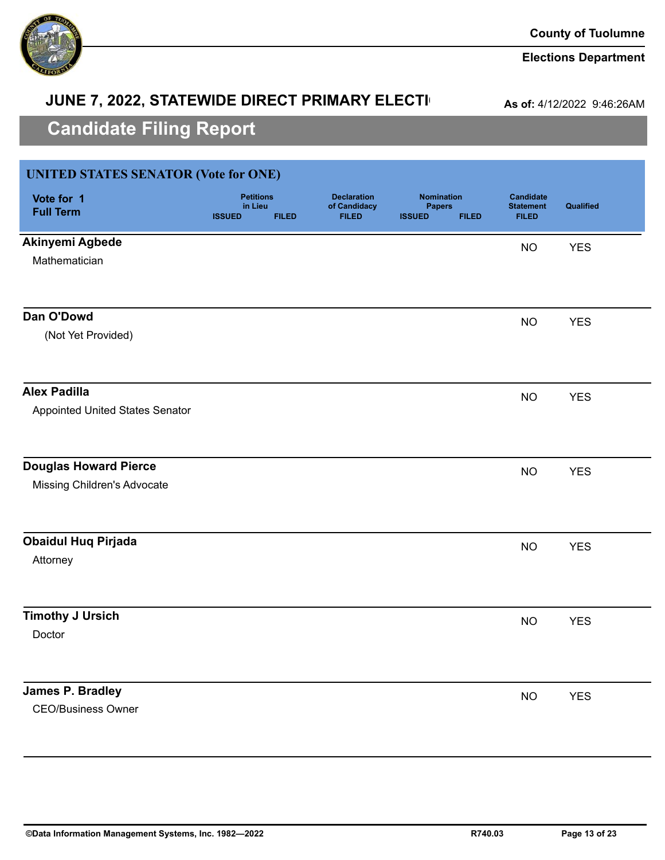

#### **Elections Department**

### **JUNE 7, 2022, STATEWIDE DIRECT PRIMARY ELECTI**

**As of:** 4/12/2022 9:46:26AM

| <b>UNITED STATES SENATOR (Vote for ONE)</b> |                                                              |                                                    |                                                                     |                                                      |            |
|---------------------------------------------|--------------------------------------------------------------|----------------------------------------------------|---------------------------------------------------------------------|------------------------------------------------------|------------|
| Vote for 1<br><b>Full Term</b>              | <b>Petitions</b><br>in Lieu<br><b>FILED</b><br><b>ISSUED</b> | <b>Declaration</b><br>of Candidacy<br><b>FILED</b> | <b>Nomination</b><br><b>Papers</b><br><b>ISSUED</b><br><b>FILED</b> | <b>Candidate</b><br><b>Statement</b><br><b>FILED</b> | Qualified  |
| Akinyemi Agbede                             |                                                              |                                                    |                                                                     | <b>NO</b>                                            | <b>YES</b> |
| Mathematician                               |                                                              |                                                    |                                                                     |                                                      |            |
| Dan O'Dowd                                  |                                                              |                                                    |                                                                     | <b>NO</b>                                            | <b>YES</b> |
| (Not Yet Provided)                          |                                                              |                                                    |                                                                     |                                                      |            |
| <b>Alex Padilla</b>                         |                                                              |                                                    |                                                                     | <b>NO</b>                                            | <b>YES</b> |
| Appointed United States Senator             |                                                              |                                                    |                                                                     |                                                      |            |
| <b>Douglas Howard Pierce</b>                |                                                              |                                                    |                                                                     | <b>NO</b>                                            | <b>YES</b> |
| Missing Children's Advocate                 |                                                              |                                                    |                                                                     |                                                      |            |
| <b>Obaidul Huq Pirjada</b>                  |                                                              |                                                    |                                                                     | <b>NO</b>                                            | <b>YES</b> |
| Attorney                                    |                                                              |                                                    |                                                                     |                                                      |            |
| <b>Timothy J Ursich</b>                     |                                                              |                                                    |                                                                     | <b>NO</b>                                            | <b>YES</b> |
| Doctor                                      |                                                              |                                                    |                                                                     |                                                      |            |
| <b>James P. Bradley</b>                     |                                                              |                                                    |                                                                     | <b>NO</b>                                            | <b>YES</b> |
| <b>CEO/Business Owner</b>                   |                                                              |                                                    |                                                                     |                                                      |            |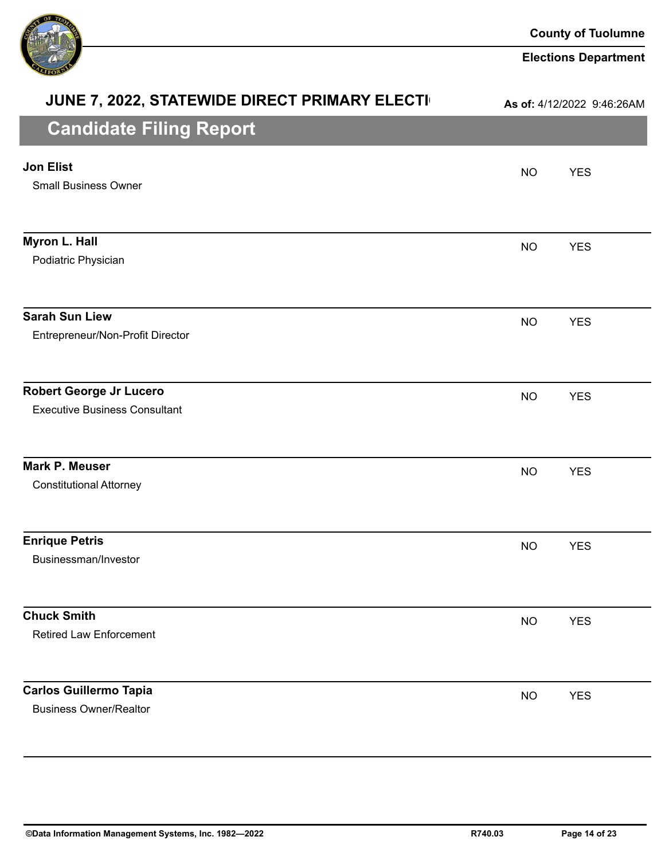

| JUNE 7, 2022, STATEWIDE DIRECT PRIMARY ELECTI                          |           | As of: 4/12/2022 9:46:26AM |
|------------------------------------------------------------------------|-----------|----------------------------|
| <b>Candidate Filing Report</b>                                         |           |                            |
| <b>Jon Elist</b><br><b>Small Business Owner</b>                        | <b>NO</b> | <b>YES</b>                 |
| Myron L. Hall<br>Podiatric Physician                                   | <b>NO</b> | <b>YES</b>                 |
| <b>Sarah Sun Liew</b><br>Entrepreneur/Non-Profit Director              | <b>NO</b> | <b>YES</b>                 |
| <b>Robert George Jr Lucero</b><br><b>Executive Business Consultant</b> | <b>NO</b> | <b>YES</b>                 |
| <b>Mark P. Meuser</b><br><b>Constitutional Attorney</b>                | <b>NO</b> | <b>YES</b>                 |
| <b>Enrique Petris</b><br>Businessman/Investor                          | <b>NO</b> | <b>YES</b>                 |
| <b>Chuck Smith</b><br><b>Retired Law Enforcement</b>                   | <b>NO</b> | <b>YES</b>                 |
| <b>Carlos Guillermo Tapia</b><br><b>Business Owner/Realtor</b>         | <b>NO</b> | <b>YES</b>                 |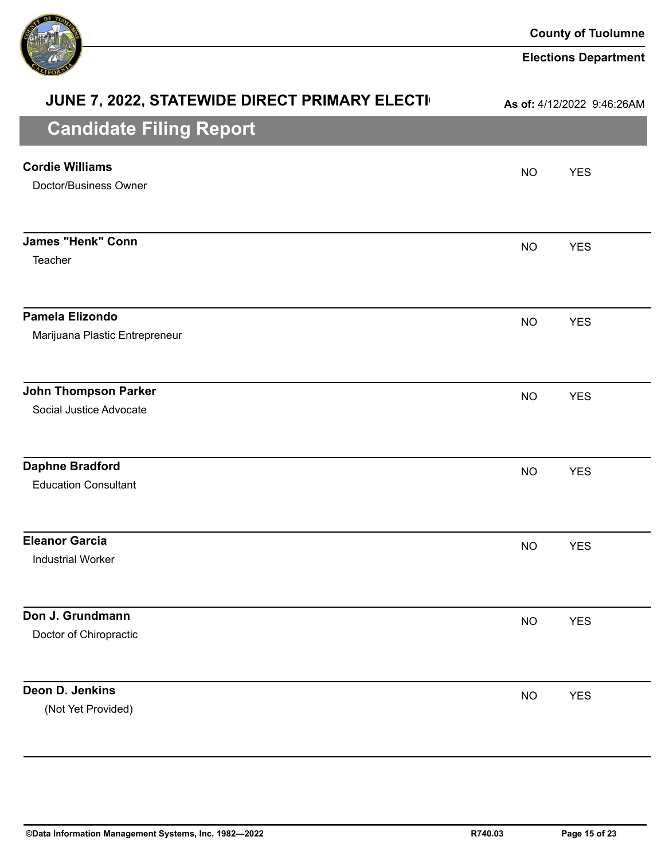

| JUNE 7, 2022, STATEWIDE DIRECT PRIMARY ELECTI          |           | As of: 4/12/2022 9:46:26AM |
|--------------------------------------------------------|-----------|----------------------------|
| <b>Candidate Filing Report</b>                         |           |                            |
| <b>Cordie Williams</b><br>Doctor/Business Owner        | <b>NO</b> | <b>YES</b>                 |
| <b>James "Henk" Conn</b><br>Teacher                    | <b>NO</b> | <b>YES</b>                 |
| Pamela Elizondo<br>Marijuana Plastic Entrepreneur      | <b>NO</b> | <b>YES</b>                 |
| <b>John Thompson Parker</b><br>Social Justice Advocate | <b>NO</b> | <b>YES</b>                 |
| <b>Daphne Bradford</b><br><b>Education Consultant</b>  | <b>NO</b> | <b>YES</b>                 |
| <b>Eleanor Garcia</b><br><b>Industrial Worker</b>      | <b>NO</b> | <b>YES</b>                 |
| Don J. Grundmann<br>Doctor of Chiropractic             | <b>NO</b> | <b>YES</b>                 |
| Deon D. Jenkins<br>(Not Yet Provided)                  | <b>NO</b> | <b>YES</b>                 |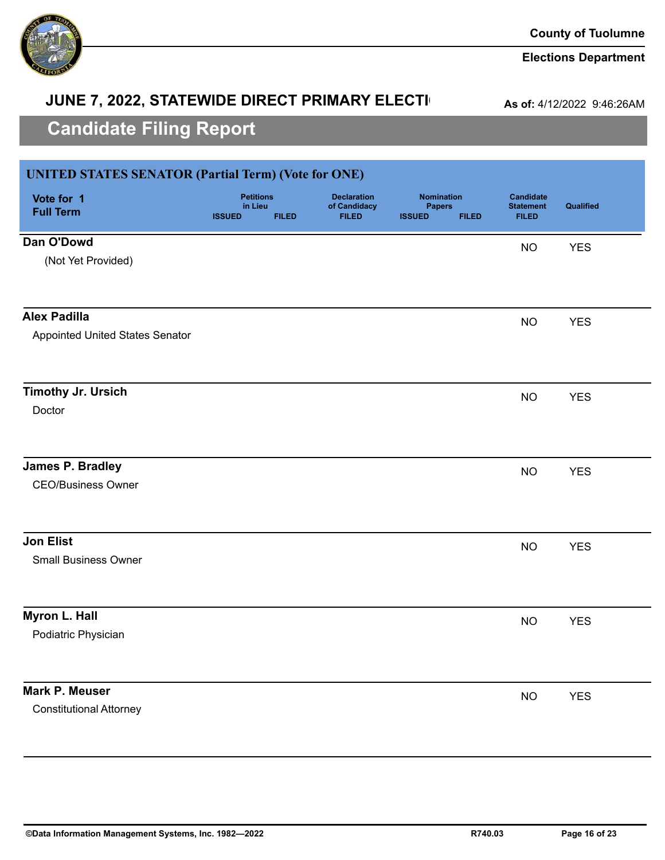

### **Elections Department**

# **JUNE 7, 2022, STATEWIDE DIRECT PRIMARY ELECTI**

**As of:** 4/12/2022 9:46:26AM

| <b>UNITED STATES SENATOR (Partial Term) (Vote for ONE)</b> |                                                              |                                                    |                                                                     |                                                      |            |
|------------------------------------------------------------|--------------------------------------------------------------|----------------------------------------------------|---------------------------------------------------------------------|------------------------------------------------------|------------|
| Vote for 1<br><b>Full Term</b>                             | <b>Petitions</b><br>in Lieu<br><b>ISSUED</b><br><b>FILED</b> | <b>Declaration</b><br>of Candidacy<br><b>FILED</b> | <b>Nomination</b><br><b>Papers</b><br><b>ISSUED</b><br><b>FILED</b> | <b>Candidate</b><br><b>Statement</b><br><b>FILED</b> | Qualified  |
| Dan O'Dowd                                                 |                                                              |                                                    |                                                                     | <b>NO</b>                                            | <b>YES</b> |
| (Not Yet Provided)                                         |                                                              |                                                    |                                                                     |                                                      |            |
| <b>Alex Padilla</b>                                        |                                                              |                                                    |                                                                     |                                                      |            |
| <b>Appointed United States Senator</b>                     |                                                              |                                                    |                                                                     | <b>NO</b>                                            | <b>YES</b> |
| <b>Timothy Jr. Ursich</b>                                  |                                                              |                                                    |                                                                     | <b>NO</b>                                            | <b>YES</b> |
| Doctor                                                     |                                                              |                                                    |                                                                     |                                                      |            |
| <b>James P. Bradley</b>                                    |                                                              |                                                    |                                                                     | <b>NO</b>                                            | <b>YES</b> |
| <b>CEO/Business Owner</b>                                  |                                                              |                                                    |                                                                     |                                                      |            |
| <b>Jon Elist</b>                                           |                                                              |                                                    |                                                                     | <b>NO</b>                                            | <b>YES</b> |
| <b>Small Business Owner</b>                                |                                                              |                                                    |                                                                     |                                                      |            |
| Myron L. Hall                                              |                                                              |                                                    |                                                                     | <b>NO</b>                                            | <b>YES</b> |
| Podiatric Physician                                        |                                                              |                                                    |                                                                     |                                                      |            |
| <b>Mark P. Meuser</b>                                      |                                                              |                                                    |                                                                     | <b>NO</b>                                            | <b>YES</b> |
| <b>Constitutional Attorney</b>                             |                                                              |                                                    |                                                                     |                                                      |            |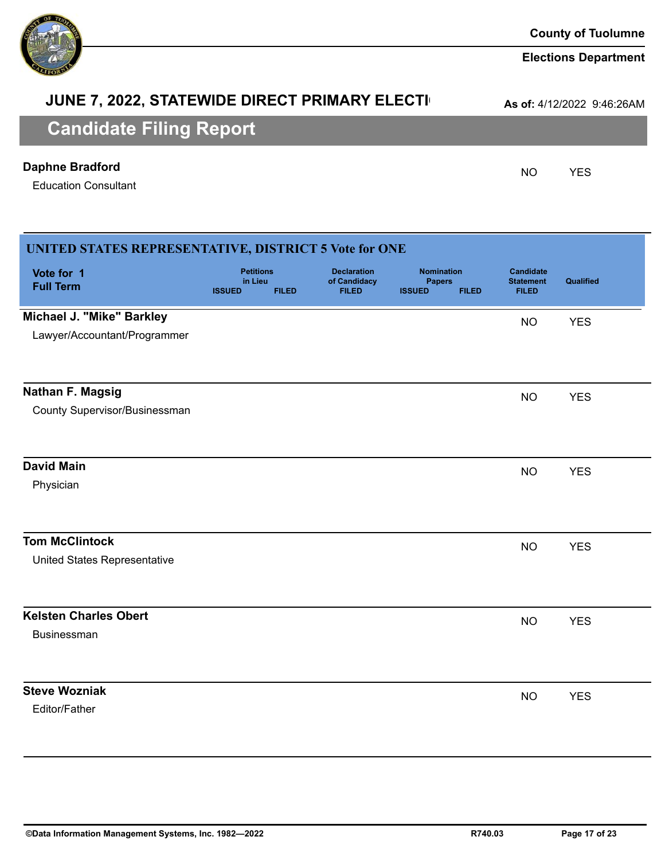| ©Data Information Management Systems, Inc. 1982-<br>$-2022$ | R740.03 | Page 17 of 23 |
|-------------------------------------------------------------|---------|---------------|
|                                                             |         |               |

# **JUNE 7, 2022, STATEWIDE DIRECT PRIMARY ELECTI**

**As of:** 4/12/2022 9:46:26AM

# **Candidate Filing Report**

### **Daphne Bradford** NO YES

Education Consultant

| <b>UNITED STATES REPRESENTATIVE, DISTRICT 5 Vote for ONE</b> |                                              |              |                                                    |                                                     |              |                                                      |            |
|--------------------------------------------------------------|----------------------------------------------|--------------|----------------------------------------------------|-----------------------------------------------------|--------------|------------------------------------------------------|------------|
| Vote for 1<br><b>Full Term</b>                               | <b>Petitions</b><br>in Lieu<br><b>ISSUED</b> | <b>FILED</b> | <b>Declaration</b><br>of Candidacy<br><b>FILED</b> | <b>Nomination</b><br><b>Papers</b><br><b>ISSUED</b> | <b>FILED</b> | <b>Candidate</b><br><b>Statement</b><br><b>FILED</b> | Qualified  |
| Michael J. "Mike" Barkley                                    |                                              |              |                                                    |                                                     |              | <b>NO</b>                                            | <b>YES</b> |
| Lawyer/Accountant/Programmer                                 |                                              |              |                                                    |                                                     |              |                                                      |            |
| <b>Nathan F. Magsig</b>                                      |                                              |              |                                                    |                                                     |              | <b>NO</b>                                            | <b>YES</b> |
| <b>County Supervisor/Businessman</b>                         |                                              |              |                                                    |                                                     |              |                                                      |            |
| <b>David Main</b>                                            |                                              |              |                                                    |                                                     |              | <b>NO</b>                                            | <b>YES</b> |
| Physician                                                    |                                              |              |                                                    |                                                     |              |                                                      |            |
| <b>Tom McClintock</b>                                        |                                              |              |                                                    |                                                     |              | <b>NO</b>                                            | <b>YES</b> |
| United States Representative                                 |                                              |              |                                                    |                                                     |              |                                                      |            |
| <b>Kelsten Charles Obert</b>                                 |                                              |              |                                                    |                                                     |              | <b>NO</b>                                            | <b>YES</b> |
| Businessman                                                  |                                              |              |                                                    |                                                     |              |                                                      |            |
| <b>Steve Wozniak</b>                                         |                                              |              |                                                    |                                                     |              | <b>NO</b>                                            | <b>YES</b> |
| Editor/Father                                                |                                              |              |                                                    |                                                     |              |                                                      |            |

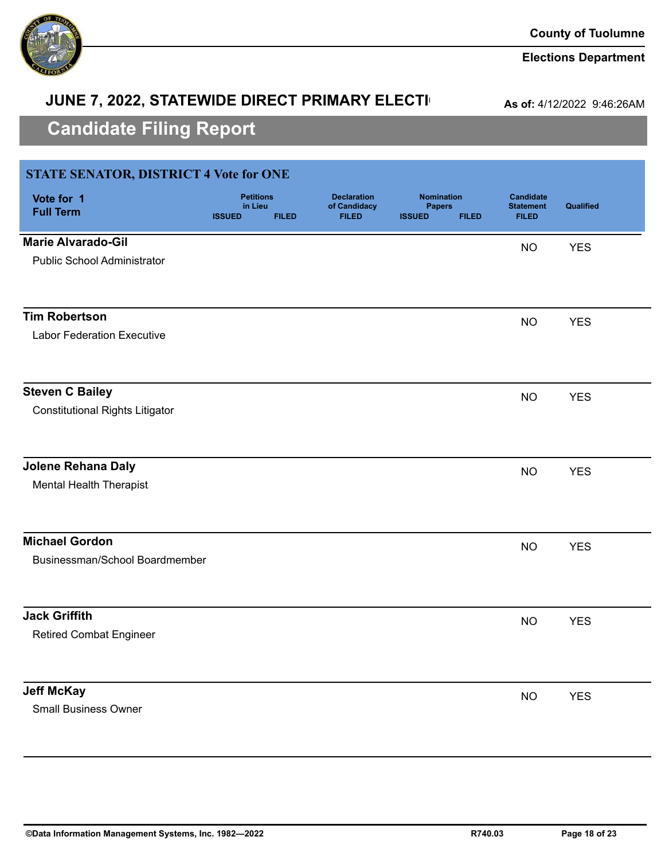

# **JUNE 7, 2022, STATEWIDE DIRECT PRIMARY ELECTI**

**As of:** 4/12/2022 9:46:26AM

| <b>STATE SENATOR, DISTRICT 4 Vote for ONE</b> |                                                              |                                                    |                                                                     |                                                      |            |
|-----------------------------------------------|--------------------------------------------------------------|----------------------------------------------------|---------------------------------------------------------------------|------------------------------------------------------|------------|
| Vote for 1<br><b>Full Term</b>                | <b>Petitions</b><br>in Lieu<br><b>ISSUED</b><br><b>FILED</b> | <b>Declaration</b><br>of Candidacy<br><b>FILED</b> | <b>Nomination</b><br><b>Papers</b><br><b>ISSUED</b><br><b>FILED</b> | <b>Candidate</b><br><b>Statement</b><br><b>FILED</b> | Qualified  |
| <b>Marie Alvarado-Gil</b>                     |                                                              |                                                    |                                                                     | <b>NO</b>                                            | <b>YES</b> |
| <b>Public School Administrator</b>            |                                                              |                                                    |                                                                     |                                                      |            |
| <b>Tim Robertson</b>                          |                                                              |                                                    |                                                                     | <b>NO</b>                                            | <b>YES</b> |
| <b>Labor Federation Executive</b>             |                                                              |                                                    |                                                                     |                                                      |            |
| <b>Steven C Bailey</b>                        |                                                              |                                                    |                                                                     | <b>NO</b>                                            | <b>YES</b> |
| <b>Constitutional Rights Litigator</b>        |                                                              |                                                    |                                                                     |                                                      |            |
| Jolene Rehana Daly                            |                                                              |                                                    |                                                                     | <b>NO</b>                                            | <b>YES</b> |
| <b>Mental Health Therapist</b>                |                                                              |                                                    |                                                                     |                                                      |            |
| <b>Michael Gordon</b>                         |                                                              |                                                    |                                                                     | <b>NO</b>                                            | <b>YES</b> |
| Businessman/School Boardmember                |                                                              |                                                    |                                                                     |                                                      |            |
| <b>Jack Griffith</b>                          |                                                              |                                                    |                                                                     | <b>NO</b>                                            | <b>YES</b> |
| <b>Retired Combat Engineer</b>                |                                                              |                                                    |                                                                     |                                                      |            |
| <b>Jeff McKay</b>                             |                                                              |                                                    |                                                                     | <b>NO</b>                                            | <b>YES</b> |
| <b>Small Business Owner</b>                   |                                                              |                                                    |                                                                     |                                                      |            |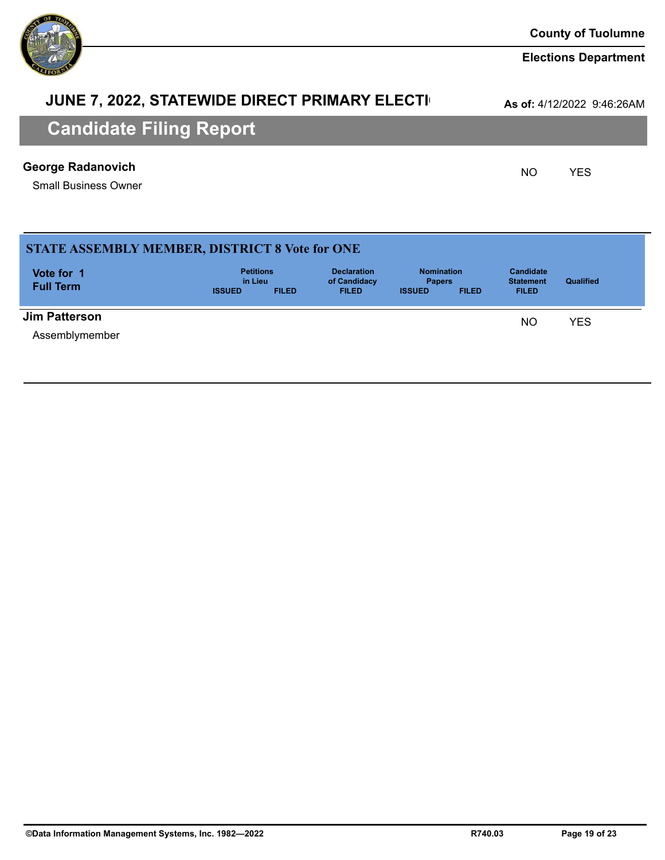# **JUNE 7, 2022, STATEWIDE DIRECT PRIMARY ELECTI**

**As of:** 4/12/2022 9:46:26AM

# **Candidate Filing Report**

### **George Radanovich George Radanovich CONSERVICES**

Small Business Owner

| <b>STATE ASSEMBLY MEMBER, DISTRICT 8 Vote for ONE</b> |                             |              |                                    |                                    |              |                                      |                  |  |
|-------------------------------------------------------|-----------------------------|--------------|------------------------------------|------------------------------------|--------------|--------------------------------------|------------------|--|
| Vote for 1<br><b>Full Term</b>                        | <b>Petitions</b><br>in Lieu |              | <b>Declaration</b><br>of Candidacy | <b>Nomination</b><br><b>Papers</b> |              | <b>Candidate</b><br><b>Statement</b> | <b>Qualified</b> |  |
|                                                       | <b>ISSUED</b>               | <b>FILED</b> | <b>FILED</b>                       | <b>ISSUED</b>                      | <b>FILED</b> | <b>FILED</b>                         |                  |  |
| <b>Jim Patterson</b>                                  |                             |              |                                    |                                    |              | <b>NO</b>                            | YES              |  |
| Assemblymember                                        |                             |              |                                    |                                    |              |                                      |                  |  |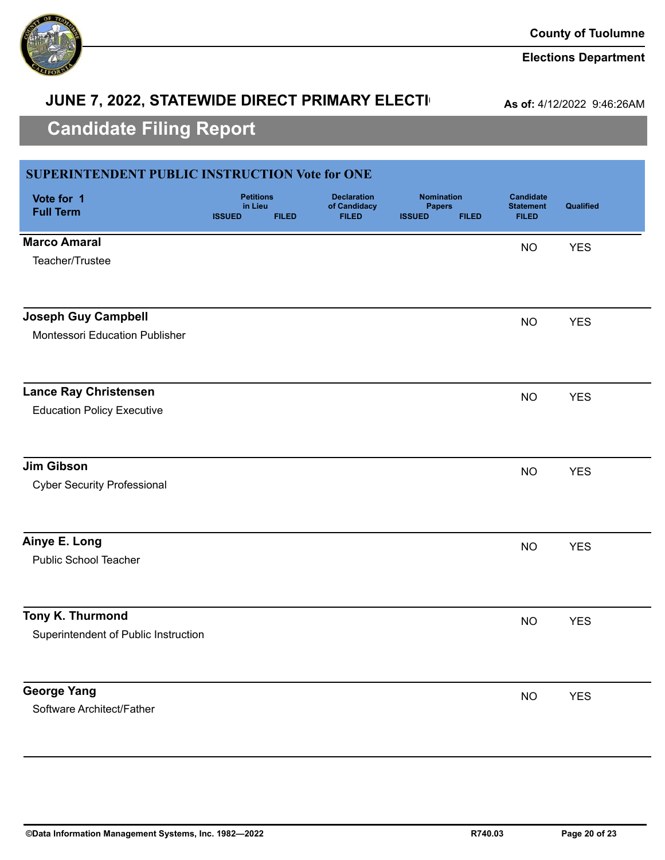

# **JUNE 7, 2022, STATEWIDE DIRECT PRIMARY ELECTI**

**As of:** 4/12/2022 9:46:26AM

| <b>SUPERINTENDENT PUBLIC INSTRUCTION Vote for ONE</b> |                                                              |                                                    |                                                                     |                                                      |            |
|-------------------------------------------------------|--------------------------------------------------------------|----------------------------------------------------|---------------------------------------------------------------------|------------------------------------------------------|------------|
| Vote for 1<br><b>Full Term</b>                        | <b>Petitions</b><br>in Lieu<br><b>ISSUED</b><br><b>FILED</b> | <b>Declaration</b><br>of Candidacy<br><b>FILED</b> | <b>Nomination</b><br><b>Papers</b><br><b>ISSUED</b><br><b>FILED</b> | <b>Candidate</b><br><b>Statement</b><br><b>FILED</b> | Qualified  |
| <b>Marco Amaral</b>                                   |                                                              |                                                    |                                                                     | <b>NO</b>                                            | <b>YES</b> |
| Teacher/Trustee                                       |                                                              |                                                    |                                                                     |                                                      |            |
| <b>Joseph Guy Campbell</b>                            |                                                              |                                                    |                                                                     | <b>NO</b>                                            | <b>YES</b> |
| Montessori Education Publisher                        |                                                              |                                                    |                                                                     |                                                      |            |
| <b>Lance Ray Christensen</b>                          |                                                              |                                                    |                                                                     | <b>NO</b>                                            | <b>YES</b> |
| <b>Education Policy Executive</b>                     |                                                              |                                                    |                                                                     |                                                      |            |
| <b>Jim Gibson</b>                                     |                                                              |                                                    |                                                                     | <b>NO</b>                                            | <b>YES</b> |
| <b>Cyber Security Professional</b>                    |                                                              |                                                    |                                                                     |                                                      |            |
| Ainye E. Long                                         |                                                              |                                                    |                                                                     | <b>NO</b>                                            | <b>YES</b> |
| <b>Public School Teacher</b>                          |                                                              |                                                    |                                                                     |                                                      |            |
| Tony K. Thurmond                                      |                                                              |                                                    |                                                                     | <b>NO</b>                                            | <b>YES</b> |
| Superintendent of Public Instruction                  |                                                              |                                                    |                                                                     |                                                      |            |
| <b>George Yang</b>                                    |                                                              |                                                    |                                                                     | <b>NO</b>                                            | <b>YES</b> |
| Software Architect/Father                             |                                                              |                                                    |                                                                     |                                                      |            |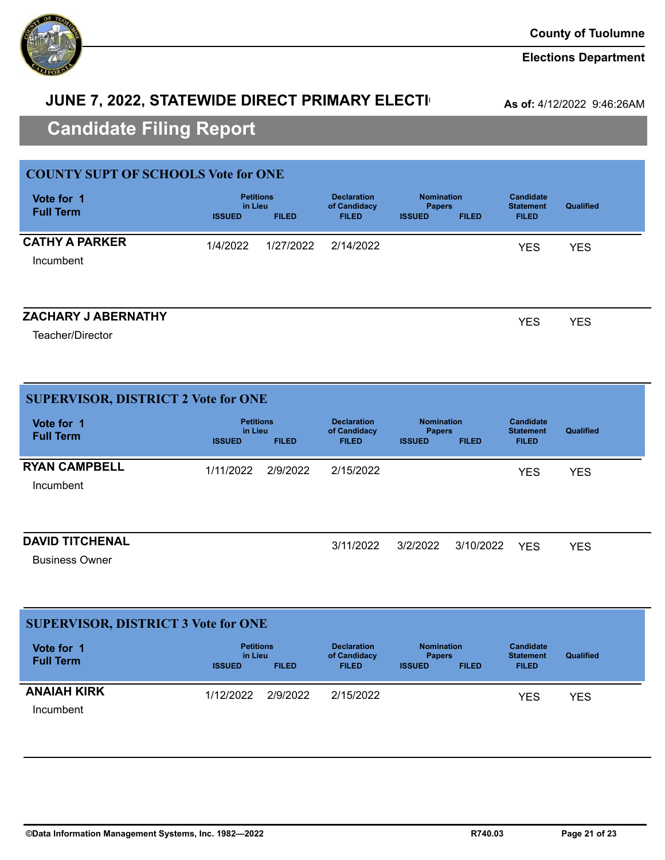

# **JUNE 7, 2022, STATEWIDE DIRECT PRIMARY ELECTI**

**As of:** 4/12/2022 9:46:26AM

# **Candidate Filing Report**

| <b>COUNTY SUPT OF SCHOOLS Vote for ONE</b> |                          |                                  |                                                    |                                                     |              |                                                      |                  |
|--------------------------------------------|--------------------------|----------------------------------|----------------------------------------------------|-----------------------------------------------------|--------------|------------------------------------------------------|------------------|
| Vote for 1<br><b>Full Term</b>             | in Lieu<br><b>ISSUED</b> | <b>Petitions</b><br><b>FILED</b> | <b>Declaration</b><br>of Candidacy<br><b>FILED</b> | <b>Nomination</b><br><b>Papers</b><br><b>ISSUED</b> | <b>FILED</b> | <b>Candidate</b><br><b>Statement</b><br><b>FILED</b> | <b>Qualified</b> |
| <b>CATHY A PARKER</b>                      | 1/4/2022                 | 1/27/2022                        | 2/14/2022                                          |                                                     |              | <b>YES</b>                                           | <b>YES</b>       |
| Incumbent                                  |                          |                                  |                                                    |                                                     |              |                                                      |                  |
|                                            |                          |                                  |                                                    |                                                     |              |                                                      |                  |
| <b>ZACHARY J ABERNATHY</b>                 |                          |                                  |                                                    |                                                     |              | YES                                                  | <b>YES</b>       |

Teacher/Director

| <b>SUPERVISOR, DISTRICT 2 Vote for ONE</b>      |                                              |              |                                                    |                                                     |              |                                                      |            |  |  |  |
|-------------------------------------------------|----------------------------------------------|--------------|----------------------------------------------------|-----------------------------------------------------|--------------|------------------------------------------------------|------------|--|--|--|
| Vote for 1<br><b>Full Term</b>                  | <b>Petitions</b><br>in Lieu<br><b>ISSUED</b> | <b>FILED</b> | <b>Declaration</b><br>of Candidacy<br><b>FILED</b> | <b>Nomination</b><br><b>Papers</b><br><b>ISSUED</b> | <b>FILED</b> | <b>Candidate</b><br><b>Statement</b><br><b>FILED</b> | Qualified  |  |  |  |
| <b>RYAN CAMPBELL</b><br>Incumbent               | 1/11/2022                                    | 2/9/2022     | 2/15/2022                                          |                                                     |              | <b>YES</b>                                           | <b>YES</b> |  |  |  |
| <b>DAVID TITCHENAL</b><br><b>Business Owner</b> |                                              |              | 3/11/2022                                          | 3/2/2022                                            | 3/10/2022    | <b>YES</b>                                           | <b>YES</b> |  |  |  |

| <b>SUPERVISOR, DISTRICT 3 Vote for ONE</b> |                                              |              |                                                    |                                                     |              |                                                      |            |  |
|--------------------------------------------|----------------------------------------------|--------------|----------------------------------------------------|-----------------------------------------------------|--------------|------------------------------------------------------|------------|--|
| Vote for 1<br><b>Full Term</b>             | <b>Petitions</b><br>in Lieu<br><b>ISSUED</b> | <b>FILED</b> | <b>Declaration</b><br>of Candidacy<br><b>FILED</b> | <b>Nomination</b><br><b>Papers</b><br><b>ISSUED</b> | <b>FILED</b> | <b>Candidate</b><br><b>Statement</b><br><b>FILED</b> | Qualified  |  |
|                                            |                                              |              |                                                    |                                                     |              |                                                      |            |  |
| <b>ANAIAH KIRK</b>                         | 1/12/2022                                    | 2/9/2022     | 2/15/2022                                          |                                                     |              | YES                                                  | <b>YES</b> |  |
| Incumbent                                  |                                              |              |                                                    |                                                     |              |                                                      |            |  |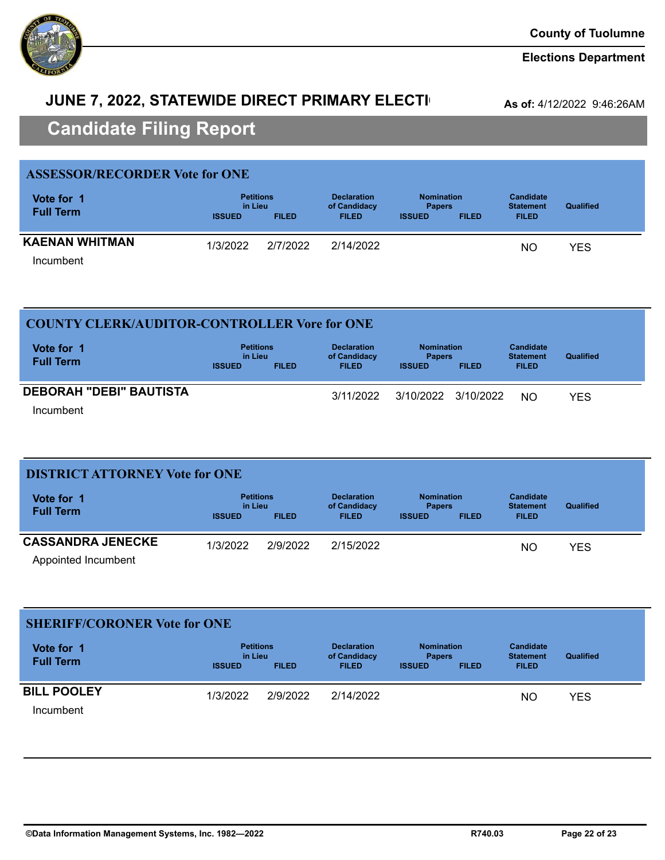

# **JUNE 7, 2022, STATEWIDE DIRECT PRIMARY ELECTI**

**As of:** 4/12/2022 9:46:26AM

# **Candidate Filing Report**

| <b>ASSESSOR/RECORDER Vote for ONE</b>                        |          |                                                    |                                                                     |  |                                                      |                  |
|--------------------------------------------------------------|----------|----------------------------------------------------|---------------------------------------------------------------------|--|------------------------------------------------------|------------------|
| <b>Petitions</b><br>in Lieu<br><b>ISSUED</b><br><b>FILED</b> |          | <b>Declaration</b><br>of Candidacy<br><b>FILED</b> | <b>Nomination</b><br><b>Papers</b><br><b>ISSUED</b><br><b>FILED</b> |  | <b>Candidate</b><br><b>Statement</b><br><b>FILED</b> | <b>Qualified</b> |
|                                                              |          |                                                    |                                                                     |  |                                                      | YES              |
|                                                              | 1/3/2022 | 2/7/2022                                           | 2/14/2022                                                           |  |                                                      | NΟ               |

Incumbent

| <b>COUNTY CLERK/AUDITOR-CONTROLLER Vore for ONE</b> |               |                  |                                    |                                    |              |                                      |           |  |
|-----------------------------------------------------|---------------|------------------|------------------------------------|------------------------------------|--------------|--------------------------------------|-----------|--|
| Vote for 1                                          | in Lieu       | <b>Petitions</b> | <b>Declaration</b><br>of Candidacy | <b>Nomination</b><br><b>Papers</b> |              | <b>Candidate</b><br><b>Statement</b> | Qualified |  |
| <b>Full Term</b>                                    | <b>ISSUED</b> | <b>FILED</b>     | <b>FILED</b>                       | <b>ISSUED</b>                      | <b>FILED</b> | <b>FILED</b>                         |           |  |
| <b>DEBORAH "DEBI" BAUTISTA</b>                      |               |                  | 3/11/2022                          | 3/10/2022 3/10/2022                |              | <b>NO</b>                            | YES       |  |
| Incumbent                                           |               |                  |                                    |                                    |              |                                      |           |  |

| <b>DISTRICT ATTORNEY Vote for ONE</b>           |                          |                                  |                                                    |                                                     |              |                                                      |                  |  |
|-------------------------------------------------|--------------------------|----------------------------------|----------------------------------------------------|-----------------------------------------------------|--------------|------------------------------------------------------|------------------|--|
| Vote for 1<br><b>Full Term</b>                  | in Lieu<br><b>ISSUED</b> | <b>Petitions</b><br><b>FILED</b> | <b>Declaration</b><br>of Candidacy<br><b>FILED</b> | <b>Nomination</b><br><b>Papers</b><br><b>ISSUED</b> | <b>FILED</b> | <b>Candidate</b><br><b>Statement</b><br><b>FILED</b> | <b>Qualified</b> |  |
| <b>CASSANDRA JENECKE</b><br>Appointed Incumbent | 1/3/2022                 | 2/9/2022                         | 2/15/2022                                          |                                                     |              | <b>NO</b>                                            | <b>YES</b>       |  |

### **SHERIFF/CORONER Vote for ONE**

| Vote for 1<br><b>Full Term</b> |               | <b>Petitions</b><br>in Lieu |              | <b>Nomination</b><br><b>Papers</b> |              | <b>Candidate</b><br><b>Statement</b> | <b>Qualified</b> |  |
|--------------------------------|---------------|-----------------------------|--------------|------------------------------------|--------------|--------------------------------------|------------------|--|
|                                | <b>ISSUED</b> | <b>FILED</b>                | <b>FILED</b> | <b>ISSUED</b>                      | <b>FILED</b> | <b>FILED</b>                         |                  |  |
| <b>BILL POOLEY</b>             | 1/3/2022      | 2/9/2022                    | 2/14/2022    |                                    |              | NΟ                                   | <b>YES</b>       |  |
| Incumbent                      |               |                             |              |                                    |              |                                      |                  |  |

Incumbent